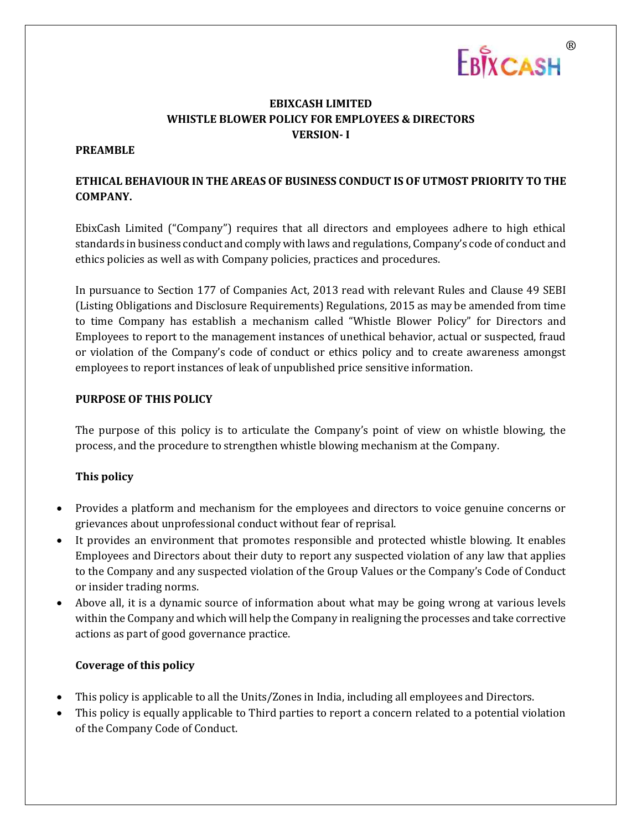

# **EBIXCASH LIMITED WHISTLE BLOWER POLICY FOR EMPLOYEES & DIRECTORS VERSION- I**

## **PREAMBLE**

# **ETHICAL BEHAVIOUR IN THE AREAS OF BUSINESS CONDUCT IS OF UTMOST PRIORITY TO THE COMPANY.**

EbixCash Limited ("Company") requires that all directors and employees adhere to high ethical standards in business conduct and comply with laws and regulations, Company's code of conduct and ethics policies as well as with Company policies, practices and procedures.

In pursuance to Section 177 of Companies Act, 2013 read with relevant Rules and Clause 49 SEBI (Listing Obligations and Disclosure Requirements) Regulations, 2015 as may be amended from time to time Company has establish a mechanism called "Whistle Blower Policy" for Directors and Employees to report to the management instances of unethical behavior, actual or suspected, fraud or violation of the Company's code of conduct or ethics policy and to create awareness amongst employees to report instances of leak of unpublished price sensitive information.

#### **PURPOSE OF THIS POLICY**

The purpose of this policy is to articulate the Company's point of view on whistle blowing, the process, and the procedure to strengthen whistle blowing mechanism at the Company.

## **This policy**

- Provides a platform and mechanism for the employees and directors to voice genuine concerns or grievances about unprofessional conduct without fear of reprisal.
- It provides an environment that promotes responsible and protected whistle blowing. It enables Employees and Directors about their duty to report any suspected violation of any law that applies to the Company and any suspected violation of the Group Values or the Company's Code of Conduct or insider trading norms.
- Above all, it is a dynamic source of information about what may be going wrong at various levels within the Company and which will help the Company in realigning the processes and take corrective actions as part of good governance practice.

## **Coverage of this policy**

- This policy is applicable to all the Units/Zones in India, including all employees and Directors.
- This policy is equally applicable to Third parties to report a concern related to a potential violation of the Company Code of Conduct.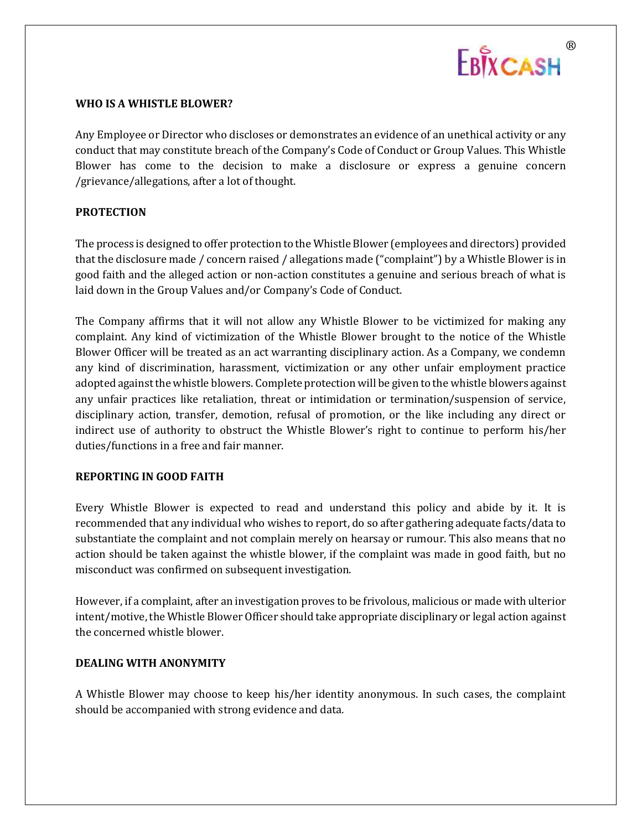

#### **WHO IS A WHISTLE BLOWER?**

Any Employee or Director who discloses or demonstrates an evidence of an unethical activity or any conduct that may constitute breach of the Company's Code of Conduct or Group Values. This Whistle Blower has come to the decision to make a disclosure or express a genuine concern /grievance/allegations, after a lot of thought.

### **PROTECTION**

The process is designed to offer protection to the Whistle Blower (employees and directors) provided that the disclosure made / concern raised / allegations made ("complaint") by a Whistle Blower is in good faith and the alleged action or non-action constitutes a genuine and serious breach of what is laid down in the Group Values and/or Company's Code of Conduct.

The Company affirms that it will not allow any Whistle Blower to be victimized for making any complaint. Any kind of victimization of the Whistle Blower brought to the notice of the Whistle Blower Officer will be treated as an act warranting disciplinary action. As a Company, we condemn any kind of discrimination, harassment, victimization or any other unfair employment practice adopted against the whistle blowers. Complete protection will be given to the whistle blowers against any unfair practices like retaliation, threat or intimidation or termination/suspension of service, disciplinary action, transfer, demotion, refusal of promotion, or the like including any direct or indirect use of authority to obstruct the Whistle Blower's right to continue to perform his/her duties/functions in a free and fair manner.

#### **REPORTING IN GOOD FAITH**

Every Whistle Blower is expected to read and understand this policy and abide by it. It is recommended that any individual who wishes to report, do so after gathering adequate facts/data to substantiate the complaint and not complain merely on hearsay or rumour. This also means that no action should be taken against the whistle blower, if the complaint was made in good faith, but no misconduct was confirmed on subsequent investigation.

However, if a complaint, after an investigation proves to be frivolous, malicious or made with ulterior intent/motive, the Whistle Blower Officer should take appropriate disciplinary or legal action against the concerned whistle blower.

#### **DEALING WITH ANONYMITY**

A Whistle Blower may choose to keep his/her identity anonymous. In such cases, the complaint should be accompanied with strong evidence and data.